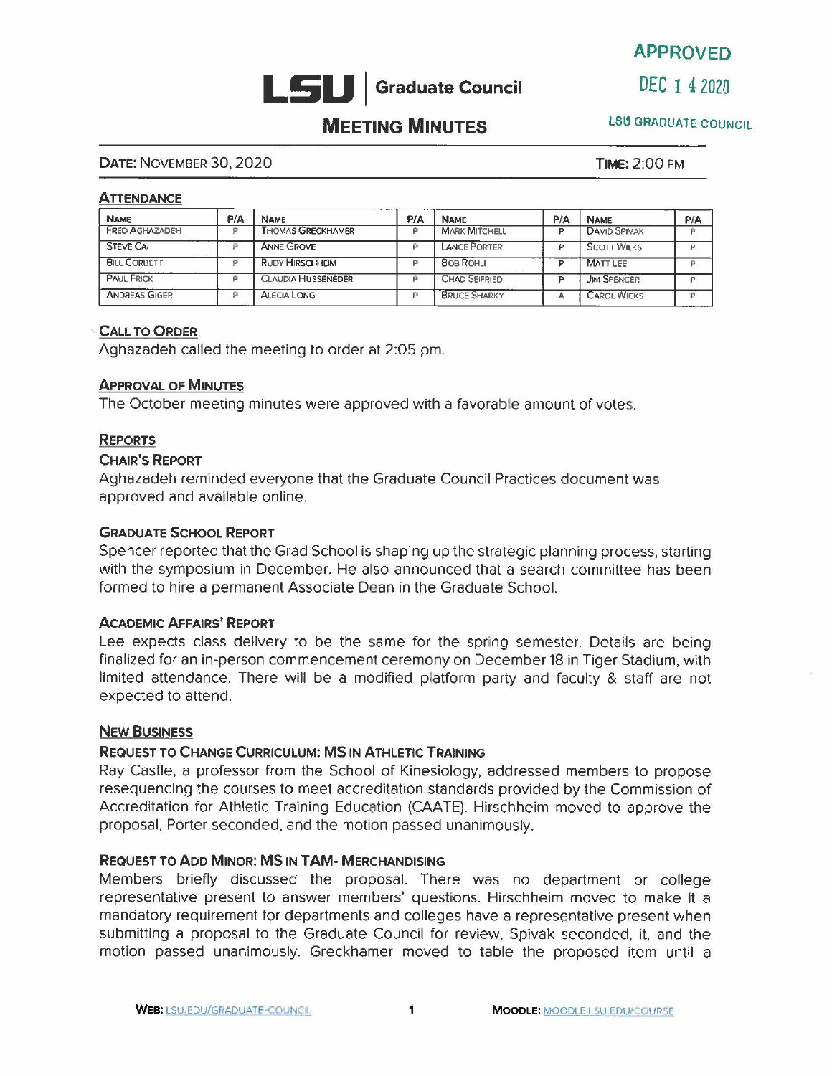

APPROVED

# **MEETING MINUTES LSU GRADUATE COUNCIL**

#### **DATE:** NOVEMBER 30, 2020 **TIME:** 2:00 PM

#### **ATTENDANCE**

| <b>NAME</b>           | P/A | <b>NAME</b>               | P/A | <b>NAME</b>          | PIA | <b>NAME</b>         | PIA |
|-----------------------|-----|---------------------------|-----|----------------------|-----|---------------------|-----|
| <b>FRED AGHAZADEH</b> | o   | <b>THOMAS GRECKHAMER</b>  |     | <b>MARK MITCHELL</b> |     | <b>DAVID SPIVAK</b> |     |
| <b>STEVE CAI</b>      |     | <b>ANNE GROVE</b>         |     | LANCE PORTER         |     | <b>SCOTT WILKS</b>  |     |
| <b>BILL CORBETT</b>   |     | <b>RUDY HIRSCHHEIM</b>    |     | <b>BOB ROHLI</b>     |     | <b>MATT LEE</b>     |     |
| <b>PAUL FRICK</b>     |     | <b>CLAUDIA HUSSENEDER</b> |     | CHAD SEIFRIED        |     | <b>JIM SPENCER</b>  |     |
| <b>ANDREAS GIGER</b>  | o   | <b>ALECIA LONG</b>        |     | <b>BRUCE SHARKY</b>  | д   | <b>CAROL WICKS</b>  |     |

#### **CALL TO ORDER**

Aghazadeh called the meeting to order at 2:05 pm.

#### **APPROVAL OF MINUTES**

The October meeting minutes were approved with a favorable amount of votes.

#### **REPORTS**

#### **CHAIR'S REPORT**

Aghazadeh reminded everyone that the Graduate Council Practices document was approved and available online.

#### **GRADUATE SCHOOL REPORT**

Spencer reported that the Grad School is shaping up the strategic planning process, starting with the symposium in December. He also announced that a search committee has been formed to hire a permanent Associate Dean in the Graduate School.

#### **ACADEMIC AFFAIRS' REPORT**

Lee expects class delivery to be the same for the spring semester. Details are being finalized for an in-person commencement ceremony on December 18 in Tiger Stadium, with limited attendance. There will be a modified platform party and faculty & staff are not expected to attend.

#### **NEW BUSINESS**

### **REQUEST TO CHANGE CURRICULUM: MS IN ATHLETIC TRAINING**

Ray Castle, a professor from the School of Kinesiology, addressed members to propose resequencing the courses to meet accreditation standards provided by the Commission of Accreditation for Athletic Training Education {CAATE). Hirschheim moved to approve the proposal, Porter seconded, and the motion passed unanimously.

#### **REQUEST TO ADD MINOR: MS IN TAM- MERCHANDISING**

Members briefly discussed the proposal. There was no department or college representative present to answer members' questions. Hirschheim moved to make it a mandatory requirement for departments and colleges have a representative present when submitting a proposal to the Graduate Council for review. Spivak seconded, it, and the motion passed unanimously. Greckhamer moved to table the proposed item until a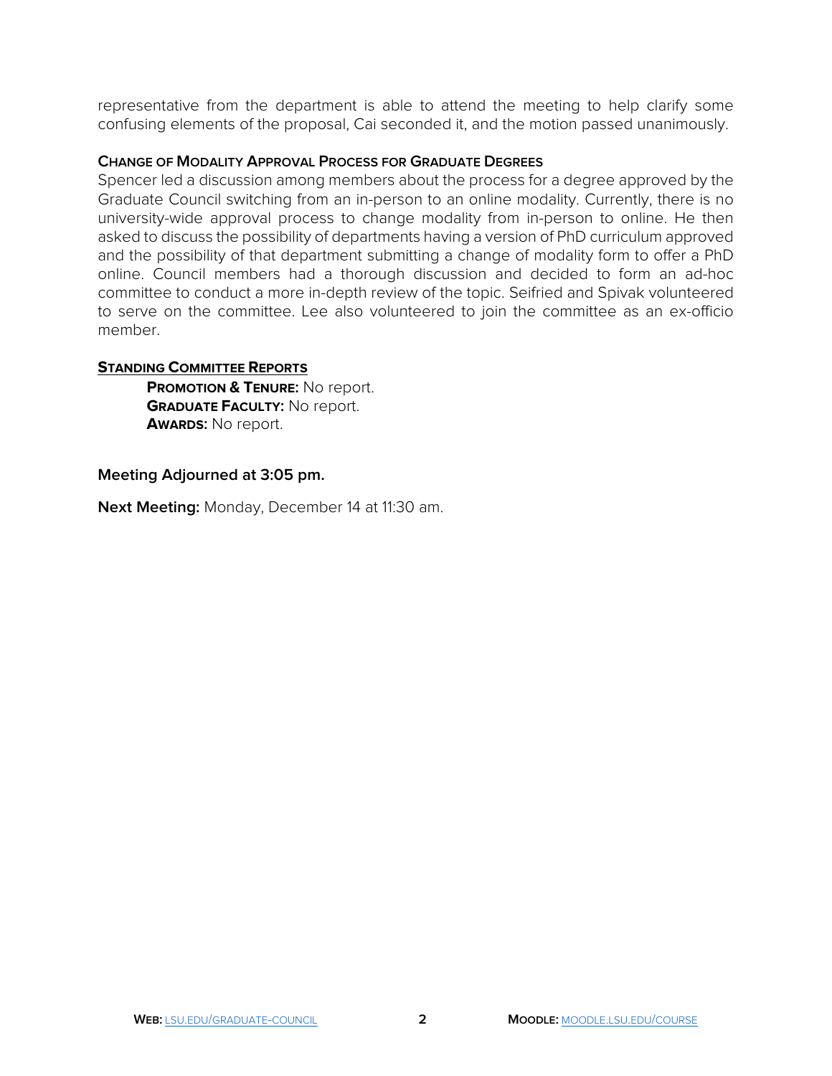representative from the department is able to attend the meeting to help clarify some confusing elements of the proposal, Cai seconded it, and the motion passed unanimously.

## **CHANGE OF MODALITY APPROVAL PROCESS FOR GRADUATE DEGREES**

 asked to discuss the possibility of departments having a version of PhD curriculum approved Spencer led a discussion among members about the process for a degree approved by the Graduate Council switching from an in-person to an online modality. Currently, there is no university-wide approval process to change modality from in-person to online. He then and the possibility of that department submitting a change of modality form to offer a PhD online. Council members had a thorough discussion and decided to form an ad-hoc committee to conduct a more in-depth review of the topic. Seifried and Spivak volunteered to serve on the committee. Lee also volunteered to join the committee as an ex-officio member.

## **STANDING COMMITTEE REPORTS**

**PROMOTION & TENURE:** No report. **GRADUATE FACULTY:** No report. **AWARDS:** No report.

## **Meeting Adjourned at 3:05 pm.**

**Next Meeting:** Monday, December 14 at 11:30 am.